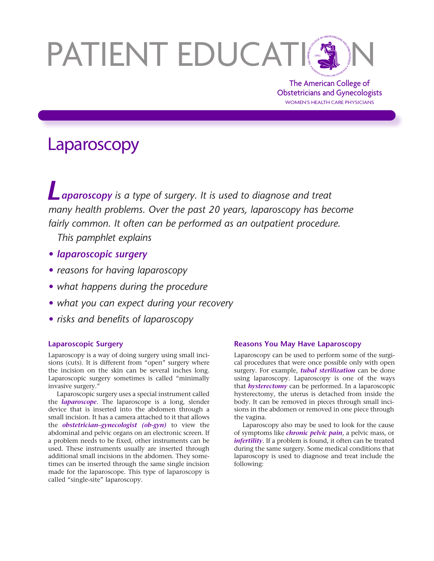# PATIENT EDUCATION

The American College of Obstetricians and Gynecologists WOMEN'S HEALTH CARE PHYSICIANS

# Laparoscopy

*Laparoscopy is a type of surgery. It is used to diagnose and treat many health problems. Over the past 20 years, laparoscopy has become fairly common. It often can be performed as an outpatient procedure.* 

*This pamphlet explains*

- *• laparoscopic surgery*
- *• reasons for having laparoscopy*
- *• what happens during the procedure*
- *• what you can expect during your recovery*
- *• risks and benefits of laparoscopy*

# **Laparoscopic Surgery**

Laparoscopy is a way of doing surgery using small incisions (cuts). It is different from "open" surgery where the incision on the skin can be several inches long. Laparoscopic surgery sometimes is called "minimally invasive surgery."

Laparoscopic surgery uses a special instrument called the *laparoscope*. The laparoscope is a long, slender device that is inserted into the abdomen through a small incision. It has a camera attached to it that allows the *obstetrician–gynecologist (ob-gyn)* to view the abdominal and pelvic organs on an electronic screen. If a problem needs to be fixed, other instruments can be used. These instruments usually are inserted through additional small incisions in the abdomen. They sometimes can be inserted through the same single incision made for the laparoscope. This type of laparoscopy is called "single-site" laparoscopy.

## **Reasons You May Have Laparoscopy**

Laparoscopy can be used to perform some of the surgical procedures that were once possible only with open surgery. For example, *tubal sterilization* can be done using laparoscopy. Laparoscopy is one of the ways that *hysterectomy* can be performed. In a laparoscopic hysterectomy, the uterus is detached from inside the body. It can be removed in pieces through small incisions in the abdomen or removed in one piece through the vagina.

Laparoscopy also may be used to look for the cause of symptoms like *chronic pelvic pain*, a pelvic mass, or *infertility*. If a problem is found, it often can be treated during the same surgery. Some medical conditions that laparoscopy is used to diagnose and treat include the following: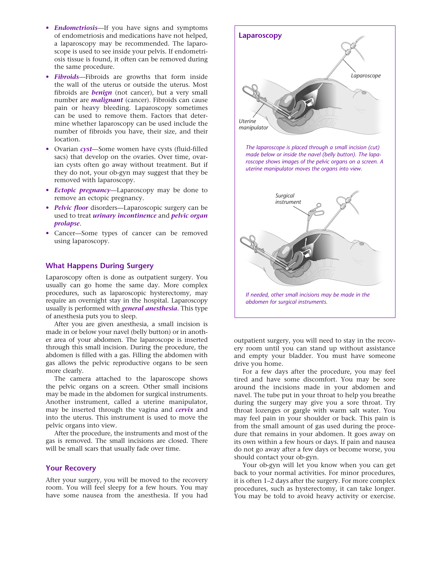- *Endometriosis*—If you have signs and symptoms of endometriosis and medications have not helped, a laparoscopy may be recommended. The laparoscope is used to see inside your pelvis. If endometriosis tissue is found, it often can be removed during the same procedure.
- *Fibroids*—Fibroids are growths that form inside the wall of the uterus or outside the uterus. Most fibroids are *benign* (not cancer), but a very small number are *malignant* (cancer). Fibroids can cause pain or heavy bleeding. Laparoscopy sometimes can be used to remove them. Factors that determine whether laparoscopy can be used include the number of fibroids you have, their size, and their location.
- Ovarian *cyst*—Some women have cysts (fluid-filled sacs) that develop on the ovaries. Over time, ovarian cysts often go away without treatment. But if they do not, your ob-gyn may suggest that they be removed with laparoscopy.
- *Ectopic pregnancy*—Laparoscopy may be done to remove an ectopic pregnancy.
- *Pelvic floor* disorders—Laparoscopic surgery can be used to treat *urinary incontinence* and *pelvic organ prolapse*.
- Cancer—Some types of cancer can be removed using laparoscopy.

## **What Happens During Surgery**

Laparoscopy often is done as outpatient surgery. You usually can go home the same day. More complex procedures, such as laparoscopic hysterectomy, may require an overnight stay in the hospital. Laparoscopy usually is performed with *general anesthesia*. This type of anesthesia puts you to sleep.

After you are given anesthesia, a small incision is made in or below your navel (belly button) or in another area of your abdomen. The laparoscope is inserted through this small incision. During the procedure, the abdomen is filled with a gas. Filling the abdomen with gas allows the pelvic reproductive organs to be seen more clearly.

The camera attached to the laparoscope shows the pelvic organs on a screen. Other small incisions may be made in the abdomen for surgical instruments. Another instrument, called a uterine manipulator, may be inserted through the vagina and *cervix* and into the uterus. This instrument is used to move the pelvic organs into view.

After the procedure, the instruments and most of the gas is removed. The small incisions are closed. There will be small scars that usually fade over time.

## **Your Recovery**

After your surgery, you will be moved to the recovery room. You will feel sleepy for a few hours. You may have some nausea from the anesthesia. If you had



outpatient surgery, you will need to stay in the recovery room until you can stand up without assistance and empty your bladder. You must have someone drive you home.

For a few days after the procedure, you may feel tired and have some discomfort. You may be sore around the incisions made in your abdomen and navel. The tube put in your throat to help you breathe during the surgery may give you a sore throat. Try throat lozenges or gargle with warm salt water. You may feel pain in your shoulder or back. This pain is from the small amount of gas used during the procedure that remains in your abdomen. It goes away on its own within a few hours or days. If pain and nausea do not go away after a few days or become worse, you should contact your ob-gyn.

Your ob-gyn will let you know when you can get back to your normal activities. For minor procedures, it is often 1–2 days after the surgery. For more complex procedures, such as hysterectomy, it can take longer. You may be told to avoid heavy activity or exercise.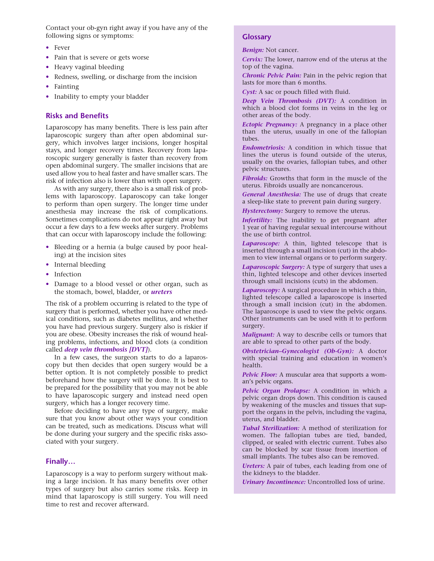Contact your ob-gyn right away if you have any of the following signs or symptoms:

- Fever
- Pain that is severe or gets worse
- Heavy vaginal bleeding
- Redness, swelling, or discharge from the incision
- Fainting
- Inability to empty your bladder

#### **Risks and Benefits**

Laparoscopy has many benefits. There is less pain after laparoscopic surgery than after open abdominal surgery, which involves larger incisions, longer hospital stays, and longer recovery times. Recovery from laparoscopic surgery generally is faster than recovery from open abdominal surgery. The smaller incisions that are used allow you to heal faster and have smaller scars. The risk of infection also is lower than with open surgery.

As with any surgery, there also is a small risk of problems with laparoscopy. Laparoscopy can take longer to perform than open surgery. The longer time under anesthesia may increase the risk of complications. Sometimes complications do not appear right away but occur a few days to a few weeks after surgery. Problems that can occur with laparoscopy include the following:

- Bleeding or a hernia (a bulge caused by poor healing) at the incision sites
- Internal bleeding
- Infection
- Damage to a blood vessel or other organ, such as the stomach, bowel, bladder, or *ureters*

The risk of a problem occurring is related to the type of surgery that is performed, whether you have other medical conditions, such as diabetes mellitus, and whether you have had previous surgery. Surgery also is riskier if you are obese. Obesity increases the risk of wound healing problems, infections, and blood clots (a condition called *deep vein thrombosis [DVT]*).

In a few cases, the surgeon starts to do a laparoscopy but then decides that open surgery would be a better option. It is not completely possible to predict beforehand how the surgery will be done. It is best to be prepared for the possibility that you may not be able to have laparoscopic surgery and instead need open surgery, which has a longer recovery time.

Before deciding to have any type of surgery, make sure that you know about other ways your condition can be treated, such as medications. Discuss what will be done during your surgery and the specific risks associated with your surgery.

#### **Finally…**

Laparoscopy is a way to perform surgery without making a large incision. It has many benefits over other types of surgery but also carries some risks. Keep in mind that laparoscopy is still surgery. You will need time to rest and recover afterward.

#### **Glossary**

*Benign:* Not cancer.

*Cervix:* The lower, narrow end of the uterus at the top of the vagina.

*Chronic Pelvic Pain:* Pain in the pelvic region that lasts for more than 6 months.

*Cyst:* A sac or pouch filled with fluid.

*Deep Vein Thrombosis (DVT):* A condition in which a blood clot forms in veins in the leg or other areas of the body.

*Ectopic Pregnancy:* A pregnancy in a place other than the uterus, usually in one of the fallopian tubes.

*Endometriosis:* A condition in which tissue that lines the uterus is found outside of the uterus, usually on the ovaries, fallopian tubes, and other pelvic structures.

*Fibroids:* Growths that form in the muscle of the uterus. Fibroids usually are noncancerous.

*General Anesthesia:* The use of drugs that create a sleep-like state to prevent pain during surgery.

*Hysterectomy:* Surgery to remove the uterus.

*Infertility:* The inability to get pregnant after 1 year of having regular sexual intercourse without the use of birth control.

*Laparoscope:* A thin, lighted telescope that is inserted through a small incision (cut) in the abdomen to view internal organs or to perform surgery.

*Laparoscopic Surgery:* A type of surgery that uses a thin, lighted telescope and other devices inserted through small incisions (cuts) in the abdomen.

*Laparoscopy:* A surgical procedure in which a thin, lighted telescope called a laparoscope is inserted through a small incision (cut) in the abdomen. The laparoscope is used to view the pelvic organs. Other instruments can be used with it to perform surgery.

*Malignant:* A way to describe cells or tumors that are able to spread to other parts of the body.

*Obstetrician–Gynecologist (Ob-Gyn):* A doctor with special training and education in women's health.

*Pelvic Floor:* A muscular area that supports a woman's pelvic organs.

*Pelvic Organ Prolapse:* A condition in which a pelvic organ drops down. This condition is caused by weakening of the muscles and tissues that support the organs in the pelvis, including the vagina, uterus, and bladder.

*Tubal Sterilization:* A method of sterilization for women. The fallopian tubes are tied, banded, clipped, or sealed with electric current. Tubes also can be blocked by scar tissue from insertion of small implants. The tubes also can be removed.

*Ureters:* A pair of tubes, each leading from one of the kidneys to the bladder.

*Urinary Incontinence:* Uncontrolled loss of urine.